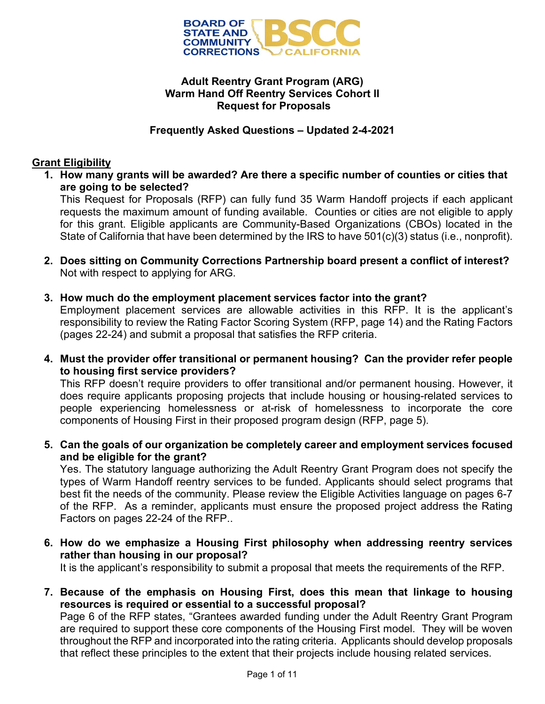

### **Adult Reentry Grant Program (ARG) Warm Hand Off Reentry Services Cohort II Request for Proposals**

### **Frequently Asked Questions – Updated 2-4-2021**

# **Grant Eligibility**

**1. How many grants will be awarded? Are there a specific number of counties or cities that are going to be selected?**

This Request for Proposals (RFP) can fully fund 35 Warm Handoff projects if each applicant requests the maximum amount of funding available. Counties or cities are not eligible to apply for this grant. Eligible applicants are Community-Based Organizations (CBOs) located in the State of California that have been determined by the IRS to have 501(c)(3) status (i.e., nonprofit).

- **2. Does sitting on Community Corrections Partnership board present a conflict of interest?** Not with respect to applying for ARG.
- **3. How much do the employment placement services factor into the grant?**

Employment placement services are allowable activities in this RFP. It is the applicant's responsibility to review the Rating Factor Scoring System (RFP, page 14) and the Rating Factors (pages 22-24) and submit a proposal that satisfies the RFP criteria.

**4. Must the provider offer transitional or permanent housing? Can the provider refer people to housing first service providers?**

This RFP doesn't require providers to offer transitional and/or permanent housing. However, it does require applicants proposing projects that include housing or housing-related services to people experiencing homelessness or at-risk of homelessness to incorporate the core components of Housing First in their proposed program design (RFP, page 5).

**5. Can the goals of our organization be completely career and employment services focused and be eligible for the grant?**

Yes. The statutory language authorizing the Adult Reentry Grant Program does not specify the types of Warm Handoff reentry services to be funded. Applicants should select programs that best fit the needs of the community. Please review the Eligible Activities language on pages 6-7 of the RFP. As a reminder, applicants must ensure the proposed project address the Rating Factors on pages 22-24 of the RFP..

**6. How do we emphasize a Housing First philosophy when addressing reentry services rather than housing in our proposal?**

It is the applicant's responsibility to submit a proposal that meets the requirements of the RFP.

**7. Because of the emphasis on Housing First, does this mean that linkage to housing resources is required or essential to a successful proposal?**

Page 6 of the RFP states, "Grantees awarded funding under the Adult Reentry Grant Program are required to support these core components of the Housing First model. They will be woven throughout the RFP and incorporated into the rating criteria. Applicants should develop proposals that reflect these principles to the extent that their projects include housing related services.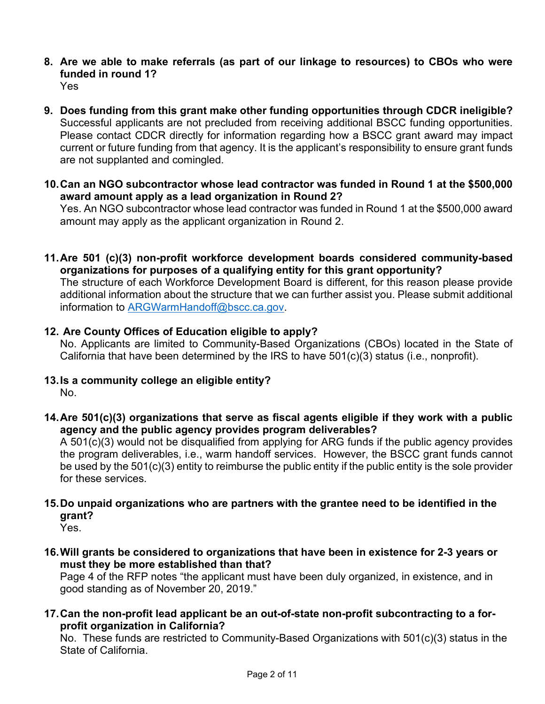- **8. Are we able to make referrals (as part of our linkage to resources) to CBOs who were funded in round 1?** Yes
- **9. Does funding from this grant make other funding opportunities through CDCR ineligible?** Successful applicants are not precluded from receiving additional BSCC funding opportunities. Please contact CDCR directly for information regarding how a BSCC grant award may impact current or future funding from that agency. It is the applicant's responsibility to ensure grant funds are not supplanted and comingled.
- **10.Can an NGO subcontractor whose lead contractor was funded in Round 1 at the \$500,000 award amount apply as a lead organization in Round 2?**

Yes. An NGO subcontractor whose lead contractor was funded in Round 1 at the \$500,000 award amount may apply as the applicant organization in Round 2.

**11.Are 501 (c)(3) non-profit workforce development boards considered community-based organizations for purposes of a qualifying entity for this grant opportunity?**

The structure of each Workforce Development Board is different, for this reason please provide additional information about the structure that we can further assist you. Please submit additional information to **ARGWarmHandoff@bscc.ca.gov.** 

# **12. Are County Offices of Education eligible to apply?**

No. Applicants are limited to Community-Based Organizations (CBOs) located in the State of California that have been determined by the IRS to have 501(c)(3) status (i.e., nonprofit).

- **13.Is a community college an eligible entity?** No.
- **14.Are 501(c)(3) organizations that serve as fiscal agents eligible if they work with a public agency and the public agency provides program deliverables?**

A 501(c)(3) would not be disqualified from applying for ARG funds if the public agency provides the program deliverables, i.e., warm handoff services. However, the BSCC grant funds cannot be used by the 501(c)(3) entity to reimburse the public entity if the public entity is the sole provider for these services.

**15.Do unpaid organizations who are partners with the grantee need to be identified in the grant?**

Yes.

**16.Will grants be considered to organizations that have been in existence for 2-3 years or must they be more established than that?** 

Page 4 of the RFP notes "the applicant must have been duly organized, in existence, and in good standing as of November 20, 2019."

**17.Can the non-profit lead applicant be an out-of-state non-profit subcontracting to a forprofit organization in California?** 

No. These funds are restricted to Community-Based Organizations with 501(c)(3) status in the State of California.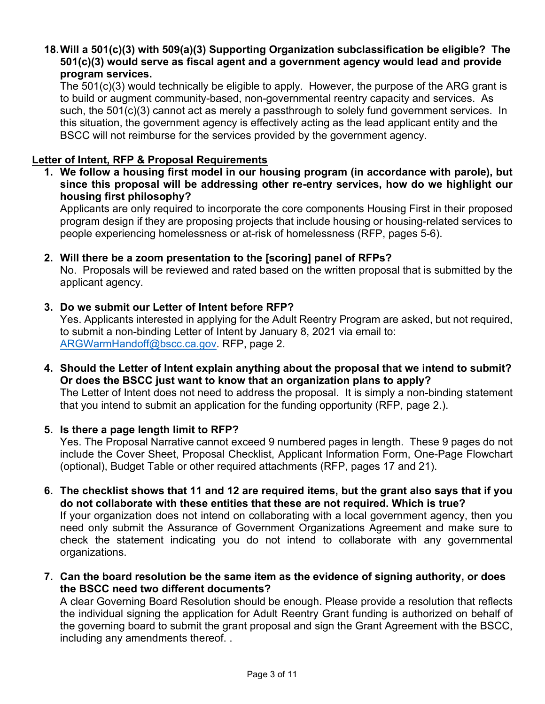### **18.Will a 501(c)(3) with 509(a)(3) Supporting Organization subclassification be eligible? The 501(c)(3) would serve as fiscal agent and a government agency would lead and provide program services.**

The 501(c)(3) would technically be eligible to apply. However, the purpose of the ARG grant is to build or augment community-based, non-governmental reentry capacity and services. As such, the 501(c)(3) cannot act as merely a passthrough to solely fund government services. In this situation, the government agency is effectively acting as the lead applicant entity and the BSCC will not reimburse for the services provided by the government agency.

## **Letter of Intent, RFP & Proposal Requirements**

**1. We follow a housing first model in our housing program (in accordance with parole), but since this proposal will be addressing other re-entry services, how do we highlight our housing first philosophy?** 

Applicants are only required to incorporate the core components Housing First in their proposed program design if they are proposing projects that include housing or housing-related services to people experiencing homelessness or at-risk of homelessness (RFP, pages 5-6).

### **2. Will there be a zoom presentation to the [scoring] panel of RFPs?**

No. Proposals will be reviewed and rated based on the written proposal that is submitted by the applicant agency.

### **3. Do we submit our Letter of Intent before RFP?**

Yes. Applicants interested in applying for the Adult Reentry Program are asked, but not required, to submit a non-binding Letter of Intent by January 8, 2021 via email to: [ARGWarmHandoff@bscc.ca.gov.](mailto:ARGWarmHandoff@bscc.ca.gov) RFP, page 2.

**4. Should the Letter of Intent explain anything about the proposal that we intend to submit? Or does the BSCC just want to know that an organization plans to apply?** The Letter of Intent does not need to address the proposal. It is simply a non-binding statement that you intend to submit an application for the funding opportunity (RFP, page 2.).

### **5. Is there a page length limit to RFP?**

Yes. The Proposal Narrative cannot exceed 9 numbered pages in length. These 9 pages do not include the Cover Sheet, Proposal Checklist, Applicant Information Form, One-Page Flowchart (optional), Budget Table or other required attachments (RFP, pages 17 and 21).

**6. The checklist shows that 11 and 12 are required items, but the grant also says that if you do not collaborate with these entities that these are not required. Which is true?**

If your organization does not intend on collaborating with a local government agency, then you need only submit the Assurance of Government Organizations Agreement and make sure to check the statement indicating you do not intend to collaborate with any governmental organizations.

**7. Can the board resolution be the same item as the evidence of signing authority, or does the BSCC need two different documents?**

A clear Governing Board Resolution should be enough. Please provide a resolution that reflects the individual signing the application for Adult Reentry Grant funding is authorized on behalf of the governing board to submit the grant proposal and sign the Grant Agreement with the BSCC, including any amendments thereof. .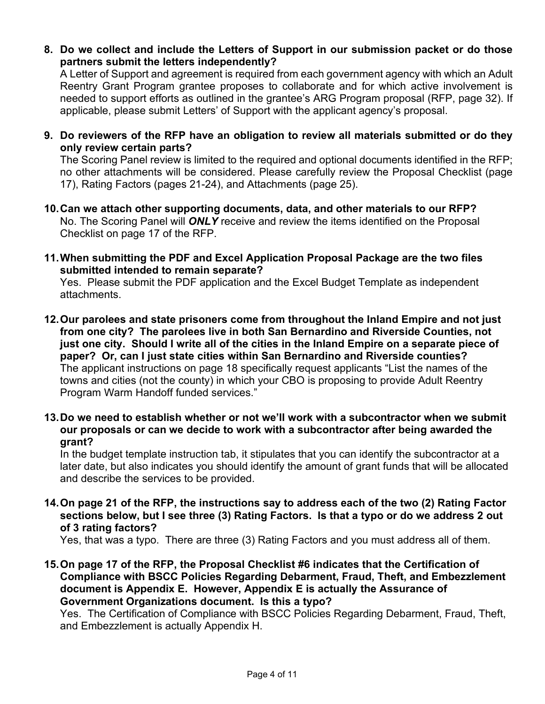**8. Do we collect and include the Letters of Support in our submission packet or do those partners submit the letters independently?**

A Letter of Support and agreement is required from each government agency with which an Adult Reentry Grant Program grantee proposes to collaborate and for which active involvement is needed to support efforts as outlined in the grantee's ARG Program proposal (RFP, page 32). If applicable, please submit Letters' of Support with the applicant agency's proposal.

**9. Do reviewers of the RFP have an obligation to review all materials submitted or do they only review certain parts?**

The Scoring Panel review is limited to the required and optional documents identified in the RFP; no other attachments will be considered. Please carefully review the Proposal Checklist (page 17), Rating Factors (pages 21-24), and Attachments (page 25).

- **10.Can we attach other supporting documents, data, and other materials to our RFP?** No. The Scoring Panel will *ONLY* receive and review the items identified on the Proposal Checklist on page 17 of the RFP.
- **11.When submitting the PDF and Excel Application Proposal Package are the two files submitted intended to remain separate?**

Yes. Please submit the PDF application and the Excel Budget Template as independent attachments.

- **12.Our parolees and state prisoners come from throughout the Inland Empire and not just from one city? The parolees live in both San Bernardino and Riverside Counties, not just one city. Should I write all of the cities in the Inland Empire on a separate piece of paper? Or, can I just state cities within San Bernardino and Riverside counties?**  The applicant instructions on page 18 specifically request applicants "List the names of the towns and cities (not the county) in which your CBO is proposing to provide Adult Reentry Program Warm Handoff funded services."
- **13.Do we need to establish whether or not we'll work with a subcontractor when we submit our proposals or can we decide to work with a subcontractor after being awarded the grant?**

In the budget template instruction tab, it stipulates that you can identify the subcontractor at a later date, but also indicates you should identify the amount of grant funds that will be allocated and describe the services to be provided.

**14.On page 21 of the RFP, the instructions say to address each of the two (2) Rating Factor sections below, but I see three (3) Rating Factors. Is that a typo or do we address 2 out of 3 rating factors?** 

Yes, that was a typo. There are three (3) Rating Factors and you must address all of them.

**15.On page 17 of the RFP, the Proposal Checklist #6 indicates that the Certification of Compliance with BSCC Policies Regarding Debarment, Fraud, Theft, and Embezzlement document is Appendix E. However, Appendix E is actually the Assurance of Government Organizations document. Is this a typo?** 

Yes. The Certification of Compliance with BSCC Policies Regarding Debarment, Fraud, Theft, and Embezzlement is actually Appendix H.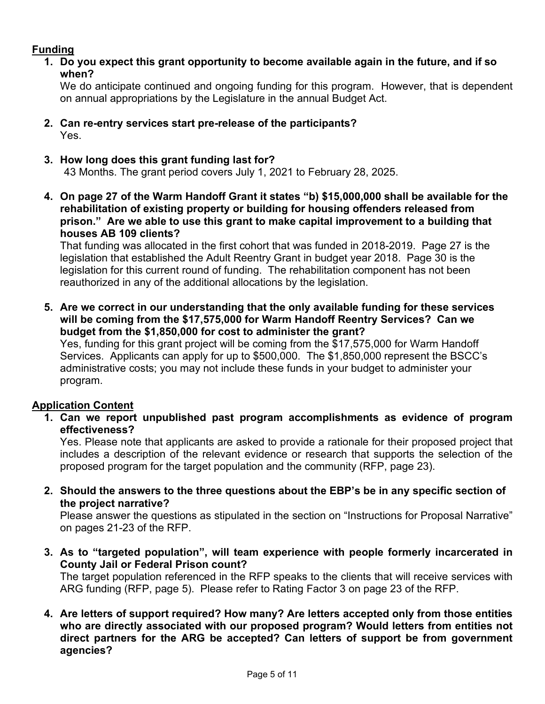# **Funding**

**1. Do you expect this grant opportunity to become available again in the future, and if so when?**

We do anticipate continued and ongoing funding for this program. However, that is dependent on annual appropriations by the Legislature in the annual Budget Act.

- **2. Can re-entry services start pre-release of the participants?** Yes.
- **3. How long does this grant funding last for?**

43 Months. The grant period covers July 1, 2021 to February 28, 2025.

**4. On page 27 of the Warm Handoff Grant it states "b) \$15,000,000 shall be available for the rehabilitation of existing property or building for housing offenders released from prison." Are we able to use this grant to make capital improvement to a building that houses AB 109 clients?** 

That funding was allocated in the first cohort that was funded in 2018-2019. Page 27 is the legislation that established the Adult Reentry Grant in budget year 2018. Page 30 is the legislation for this current round of funding. The rehabilitation component has not been reauthorized in any of the additional allocations by the legislation.

**5. Are we correct in our understanding that the only available funding for these services will be coming from the \$17,575,000 for Warm Handoff Reentry Services? Can we budget from the \$1,850,000 for cost to administer the grant?** 

Yes, funding for this grant project will be coming from the \$17,575,000 for Warm Handoff Services. Applicants can apply for up to \$500,000. The \$1,850,000 represent the BSCC's administrative costs; you may not include these funds in your budget to administer your program.

# **Application Content**

**1. Can we report unpublished past program accomplishments as evidence of program effectiveness?** 

Yes. Please note that applicants are asked to provide a rationale for their proposed project that includes a description of the relevant evidence or research that supports the selection of the proposed program for the target population and the community (RFP, page 23).

**2. Should the answers to the three questions about the EBP's be in any specific section of the project narrative?**

Please answer the questions as stipulated in the section on "Instructions for Proposal Narrative" on pages 21-23 of the RFP.

**3. As to "targeted population", will team experience with people formerly incarcerated in County Jail or Federal Prison count?**

The target population referenced in the RFP speaks to the clients that will receive services with ARG funding (RFP, page 5). Please refer to Rating Factor 3 on page 23 of the RFP.

**4. Are letters of support required? How many? Are letters accepted only from those entities who are directly associated with our proposed program? Would letters from entities not direct partners for the ARG be accepted? Can letters of support be from government agencies?**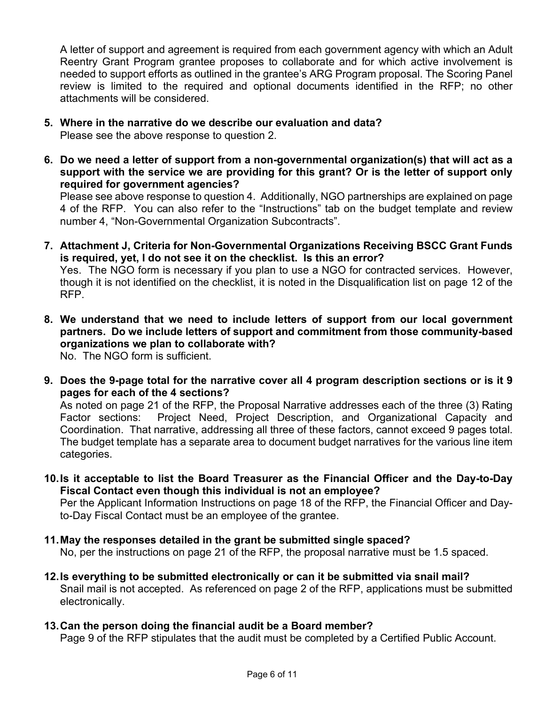A letter of support and agreement is required from each government agency with which an Adult Reentry Grant Program grantee proposes to collaborate and for which active involvement is needed to support efforts as outlined in the grantee's ARG Program proposal. The Scoring Panel review is limited to the required and optional documents identified in the RFP; no other attachments will be considered.

- **5. Where in the narrative do we describe our evaluation and data?** Please see the above response to question 2.
- **6. Do we need a letter of support from a non-governmental organization(s) that will act as a support with the service we are providing for this grant? Or is the letter of support only required for government agencies?**

Please see above response to question 4. Additionally, NGO partnerships are explained on page 4 of the RFP. You can also refer to the "Instructions" tab on the budget template and review number 4, "Non-Governmental Organization Subcontracts".

**7. Attachment J, Criteria for Non-Governmental Organizations Receiving BSCC Grant Funds is required, yet, I do not see it on the checklist. Is this an error?** 

Yes. The NGO form is necessary if you plan to use a NGO for contracted services. However, though it is not identified on the checklist, it is noted in the Disqualification list on page 12 of the RFP.

**8. We understand that we need to include letters of support from our local government partners. Do we include letters of support and commitment from those community-based organizations we plan to collaborate with?**  No. The NGO form is sufficient.

**9. Does the 9-page total for the narrative cover all 4 program description sections or is it 9 pages for each of the 4 sections?** 

As noted on page 21 of the RFP, the Proposal Narrative addresses each of the three (3) Rating Factor sections: Project Need, Project Description, and Organizational Capacity and Coordination. That narrative, addressing all three of these factors, cannot exceed 9 pages total. The budget template has a separate area to document budget narratives for the various line item categories.

**10.Is it acceptable to list the Board Treasurer as the Financial Officer and the Day-to-Day Fiscal Contact even though this individual is not an employee?** 

Per the Applicant Information Instructions on page 18 of the RFP, the Financial Officer and Dayto-Day Fiscal Contact must be an employee of the grantee.

- **11.May the responses detailed in the grant be submitted single spaced?**  No, per the instructions on page 21 of the RFP, the proposal narrative must be 1.5 spaced.
- **12.Is everything to be submitted electronically or can it be submitted via snail mail?**  Snail mail is not accepted. As referenced on page 2 of the RFP, applications must be submitted electronically.
- **13.Can the person doing the financial audit be a Board member?**

Page 9 of the RFP stipulates that the audit must be completed by a Certified Public Account.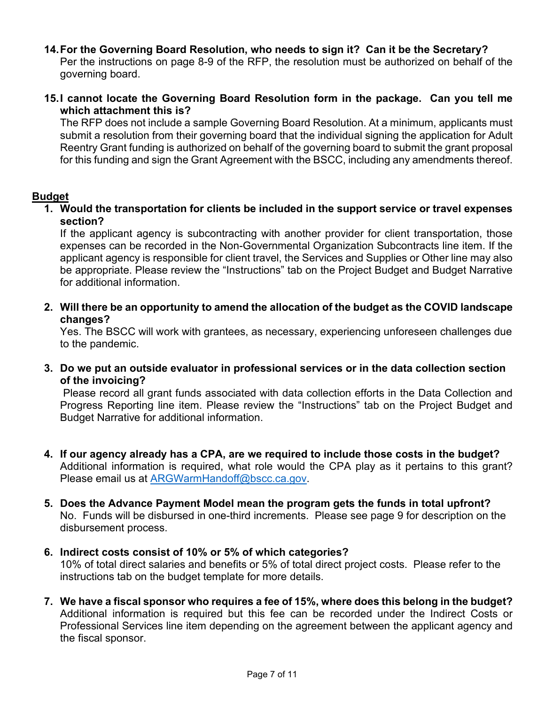**14.For the Governing Board Resolution, who needs to sign it? Can it be the Secretary?** 

Per the instructions on page 8-9 of the RFP, the resolution must be authorized on behalf of the governing board.

**15.I cannot locate the Governing Board Resolution form in the package. Can you tell me which attachment this is?** 

The RFP does not include a sample Governing Board Resolution. At a minimum, applicants must submit a resolution from their governing board that the individual signing the application for Adult Reentry Grant funding is authorized on behalf of the governing board to submit the grant proposal for this funding and sign the Grant Agreement with the BSCC, including any amendments thereof.

### **Budget**

**1. Would the transportation for clients be included in the support service or travel expenses section?**

If the applicant agency is subcontracting with another provider for client transportation, those expenses can be recorded in the Non-Governmental Organization Subcontracts line item. If the applicant agency is responsible for client travel, the Services and Supplies or Other line may also be appropriate. Please review the "Instructions" tab on the Project Budget and Budget Narrative for additional information.

**2. Will there be an opportunity to amend the allocation of the budget as the COVID landscape changes?**

Yes. The BSCC will work with grantees, as necessary, experiencing unforeseen challenges due to the pandemic.

**3. Do we put an outside evaluator in professional services or in the data collection section of the invoicing?** 

Please record all grant funds associated with data collection efforts in the Data Collection and Progress Reporting line item. Please review the "Instructions" tab on the Project Budget and Budget Narrative for additional information.

- **4. If our agency already has a CPA, are we required to include those costs in the budget?** Additional information is required, what role would the CPA play as it pertains to this grant? Please email us at [ARGWarmHandoff@bscc.ca.gov.](mailto:ARGWarmHandoff@bscc.ca.gov)
- **5. Does the Advance Payment Model mean the program gets the funds in total upfront?** No. Funds will be disbursed in one-third increments. Please see page 9 for description on the disbursement process.
- **6. Indirect costs consist of 10% or 5% of which categories?**

10% of total direct salaries and benefits or 5% of total direct project costs. Please refer to the instructions tab on the budget template for more details.

**7. We have a fiscal sponsor who requires a fee of 15%, where does this belong in the budget?** Additional information is required but this fee can be recorded under the Indirect Costs or Professional Services line item depending on the agreement between the applicant agency and the fiscal sponsor.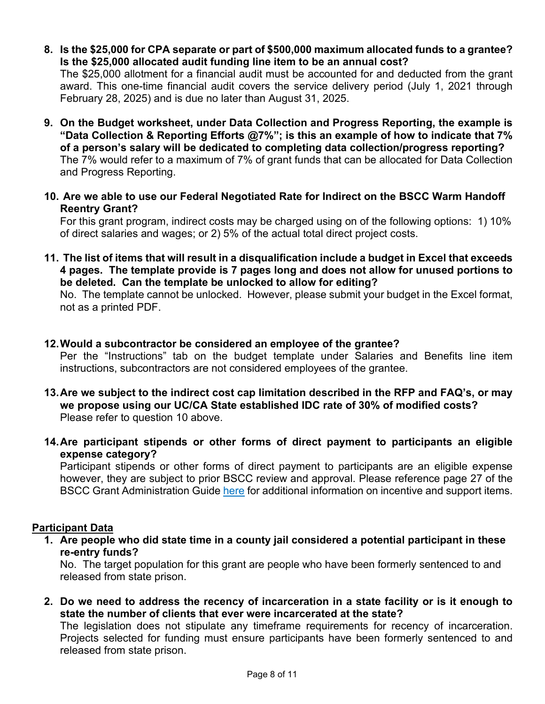**8. Is the \$25,000 for CPA separate or part of \$500,000 maximum allocated funds to a grantee? Is the \$25,000 allocated audit funding line item to be an annual cost?**

The \$25,000 allotment for a financial audit must be accounted for and deducted from the grant award. This one-time financial audit covers the service delivery period (July 1, 2021 through February 28, 2025) and is due no later than August 31, 2025.

- **9. On the Budget worksheet, under Data Collection and Progress Reporting, the example is "Data Collection & Reporting Efforts @7%"; is this an example of how to indicate that 7% of a person's salary will be dedicated to completing data collection/progress reporting?**  The 7% would refer to a maximum of 7% of grant funds that can be allocated for Data Collection and Progress Reporting.
- **10. Are we able to use our Federal Negotiated Rate for Indirect on the BSCC Warm Handoff Reentry Grant?**

For this grant program, indirect costs may be charged using on of the following options: 1) 10% of direct salaries and wages; or 2) 5% of the actual total direct project costs.

**11. The list of items that will result in a disqualification include a budget in Excel that exceeds 4 pages. The template provide is 7 pages long and does not allow for unused portions to be deleted. Can the template be unlocked to allow for editing?** 

No. The template cannot be unlocked. However, please submit your budget in the Excel format, not as a printed PDF.

### **12.Would a subcontractor be considered an employee of the grantee?**

Per the "Instructions" tab on the budget template under Salaries and Benefits line item instructions, subcontractors are not considered employees of the grantee.

- **13.Are we subject to the indirect cost cap limitation described in the RFP and FAQ's, or may we propose using our UC/CA State established IDC rate of 30% of modified costs?**  Please refer to question 10 above.
- **14.Are participant stipends or other forms of direct payment to participants an eligible expense category?**

Participant stipends or other forms of direct payment to participants are an eligible expense however, they are subject to prior BSCC review and approval. Please reference page 27 of the BSCC Grant Administration Guide [here](http://www.bscc.ca.gov/wp-content/uploads/BSCC-Grant-Admin-Guide-July-2020-Final.pdf) for additional information on incentive and support items.

### **Participant Data**

**1. Are people who did state time in a county jail considered a potential participant in these re-entry funds?**

No. The target population for this grant are people who have been formerly sentenced to and released from state prison.

**2. Do we need to address the recency of incarceration in a state facility or is it enough to state the number of clients that ever were incarcerated at the state?**

The legislation does not stipulate any timeframe requirements for recency of incarceration. Projects selected for funding must ensure participants have been formerly sentenced to and released from state prison.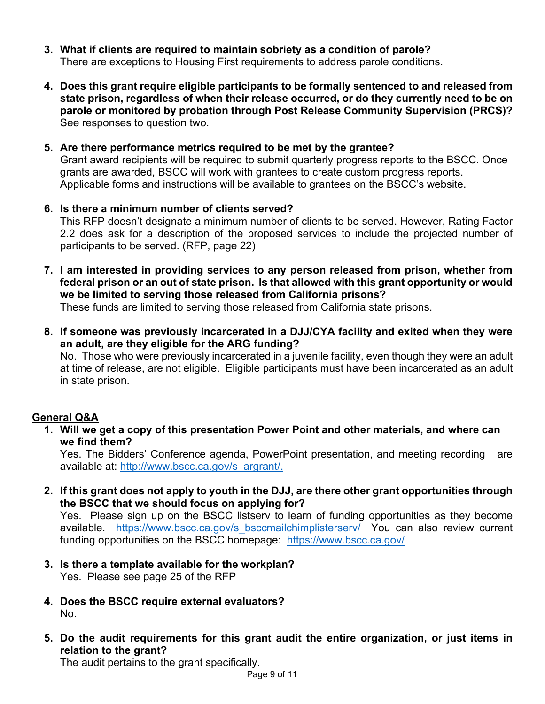- **3. What if clients are required to maintain sobriety as a condition of parole?** There are exceptions to Housing First requirements to address parole conditions.
- **4. Does this grant require eligible participants to be formally sentenced to and released from state prison, regardless of when their release occurred, or do they currently need to be on parole or monitored by probation through Post Release Community Supervision (PRCS)?** See responses to question two.
- **5. Are there performance metrics required to be met by the grantee?** Grant award recipients will be required to submit quarterly progress reports to the BSCC. Once grants are awarded, BSCC will work with grantees to create custom progress reports. Applicable forms and instructions will be available to grantees on the BSCC's website.
- **6. Is there a minimum number of clients served?** This RFP doesn't designate a minimum number of clients to be served. However, Rating Factor 2.2 does ask for a description of the proposed services to include the projected number of participants to be served. (RFP, page 22)
- **7. I am interested in providing services to any person released from prison, whether from federal prison or an out of state prison. Is that allowed with this grant opportunity or would we be limited to serving those released from California prisons?**

These funds are limited to serving those released from California state prisons.

**8. If someone was previously incarcerated in a DJJ/CYA facility and exited when they were an adult, are they eligible for the ARG funding?** 

No. Those who were previously incarcerated in a juvenile facility, even though they were an adult at time of release, are not eligible. Eligible participants must have been incarcerated as an adult in state prison.

# **General Q&A**

**1. Will we get a copy of this presentation Power Point and other materials, and where can we find them?**

Yes. The Bidders' Conference agenda, PowerPoint presentation, and meeting recording are available at: [http://www.bscc.ca.gov/s\\_argrant/.](http://www.bscc.ca.gov/s_argrant/)

**2. If this grant does not apply to youth in the DJJ, are there other grant opportunities through the BSCC that we should focus on applying for?**

Yes. Please sign up on the BSCC listserv to learn of funding opportunities as they become available. https://www.bscc.ca.gov/s bsccmailchimplisterserv/ You can also review current funding opportunities on the BSCC homepage: <https://www.bscc.ca.gov/>

- **3. Is there a template available for the workplan?**  Yes. Please see page 25 of the RFP
- **4. Does the BSCC require external evaluators?** No.
- **5. Do the audit requirements for this grant audit the entire organization, or just items in relation to the grant?**

The audit pertains to the grant specifically.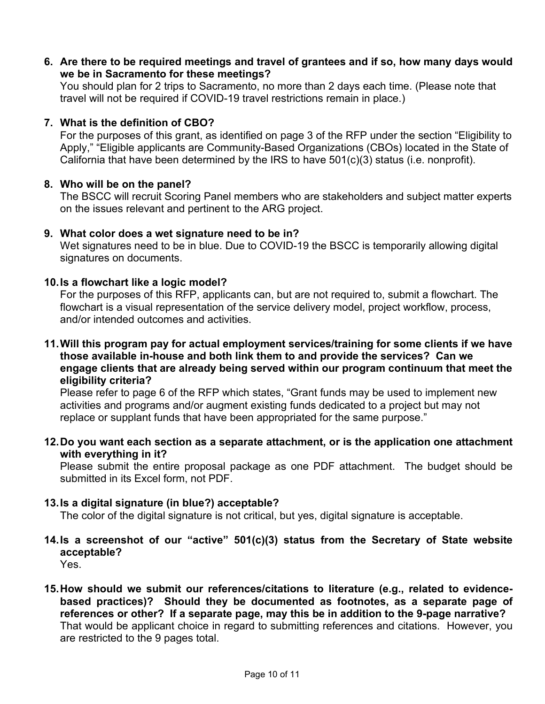**6. Are there to be required meetings and travel of grantees and if so, how many days would we be in Sacramento for these meetings?**

You should plan for 2 trips to Sacramento, no more than 2 days each time. (Please note that travel will not be required if COVID-19 travel restrictions remain in place.)

### **7. What is the definition of CBO?**

For the purposes of this grant, as identified on page 3 of the RFP under the section "Eligibility to Apply," "Eligible applicants are Community-Based Organizations (CBOs) located in the State of California that have been determined by the IRS to have 501(c)(3) status (i.e. nonprofit).

### **8. Who will be on the panel?**

The BSCC will recruit Scoring Panel members who are stakeholders and subject matter experts on the issues relevant and pertinent to the ARG project.

### **9. What color does a wet signature need to be in?**

Wet signatures need to be in blue. Due to COVID-19 the BSCC is temporarily allowing digital signatures on documents.

### **10.Is a flowchart like a logic model?**

For the purposes of this RFP, applicants can, but are not required to, submit a flowchart. The flowchart is a visual representation of the service delivery model, project workflow, process, and/or intended outcomes and activities.

**11.Will this program pay for actual employment services/training for some clients if we have those available in-house and both link them to and provide the services? Can we engage clients that are already being served within our program continuum that meet the eligibility criteria?** 

Please refer to page 6 of the RFP which states, "Grant funds may be used to implement new activities and programs and/or augment existing funds dedicated to a project but may not replace or supplant funds that have been appropriated for the same purpose."

**12.Do you want each section as a separate attachment, or is the application one attachment with everything in it?** 

Please submit the entire proposal package as one PDF attachment. The budget should be submitted in its Excel form, not PDF.

### **13.Is a digital signature (in blue?) acceptable?**

The color of the digital signature is not critical, but yes, digital signature is acceptable.

- **14.Is a screenshot of our "active" 501(c)(3) status from the Secretary of State website acceptable?** 
	- Yes.
- **15.How should we submit our references/citations to literature (e.g., related to evidencebased practices)? Should they be documented as footnotes, as a separate page of references or other? If a separate page, may this be in addition to the 9-page narrative?**  That would be applicant choice in regard to submitting references and citations. However, you are restricted to the 9 pages total.